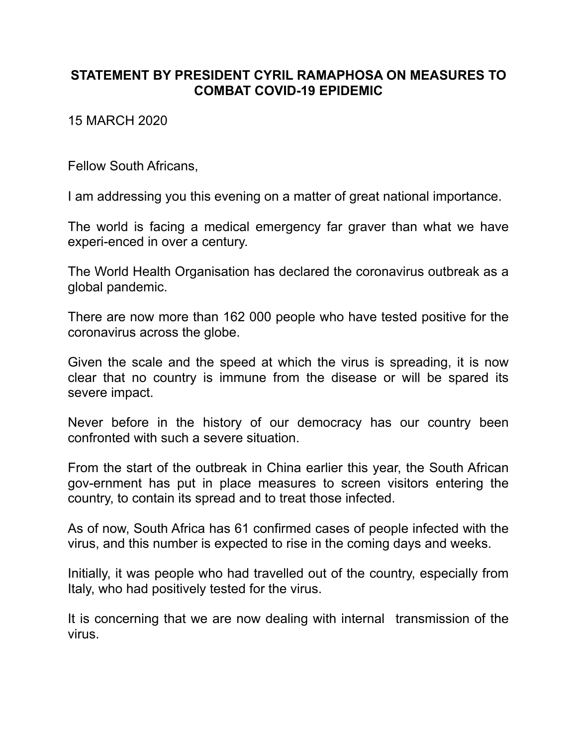## **STATEMENT BY PRESIDENT CYRIL RAMAPHOSA ON MEASURES TO COMBAT COVID-19 EPIDEMIC**

15 MARCH 2020

Fellow South Africans,

I am addressing you this evening on a matter of great national importance.

The world is facing a medical emergency far graver than what we have experi-enced in over a century.

The World Health Organisation has declared the coronavirus outbreak as a global pandemic.

There are now more than 162 000 people who have tested positive for the coronavirus across the globe.

Given the scale and the speed at which the virus is spreading, it is now clear that no country is immune from the disease or will be spared its severe impact.

Never before in the history of our democracy has our country been confronted with such a severe situation.

From the start of the outbreak in China earlier this year, the South African gov-ernment has put in place measures to screen visitors entering the country, to contain its spread and to treat those infected.

As of now, South Africa has 61 confirmed cases of people infected with the virus, and this number is expected to rise in the coming days and weeks.

Initially, it was people who had travelled out of the country, especially from Italy, who had positively tested for the virus.

It is concerning that we are now dealing with internal transmission of the virus.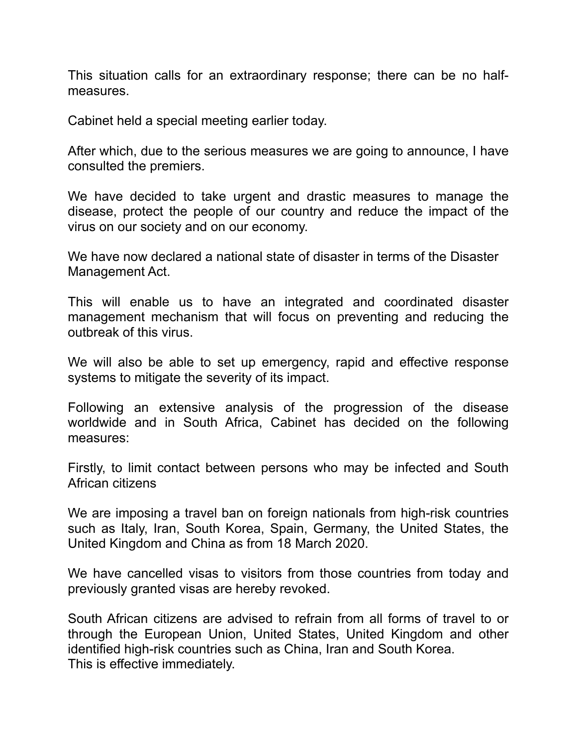This situation calls for an extraordinary response; there can be no halfmeasures.

Cabinet held a special meeting earlier today.

After which, due to the serious measures we are going to announce, I have consulted the premiers.

We have decided to take urgent and drastic measures to manage the disease, protect the people of our country and reduce the impact of the virus on our society and on our economy.

We have now declared a national state of disaster in terms of the Disaster Management Act.

This will enable us to have an integrated and coordinated disaster management mechanism that will focus on preventing and reducing the outbreak of this virus.

We will also be able to set up emergency, rapid and effective response systems to mitigate the severity of its impact.

Following an extensive analysis of the progression of the disease worldwide and in South Africa, Cabinet has decided on the following measures:

Firstly, to limit contact between persons who may be infected and South African citizens

We are imposing a travel ban on foreign nationals from high-risk countries such as Italy, Iran, South Korea, Spain, Germany, the United States, the United Kingdom and China as from 18 March 2020.

We have cancelled visas to visitors from those countries from today and previously granted visas are hereby revoked.

South African citizens are advised to refrain from all forms of travel to or through the European Union, United States, United Kingdom and other identified high-risk countries such as China, Iran and South Korea. This is effective immediately.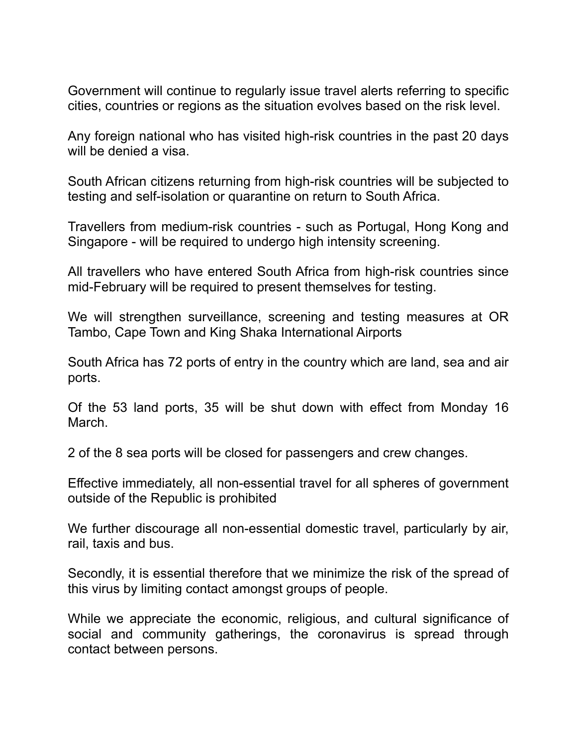Government will continue to regularly issue travel alerts referring to specific cities, countries or regions as the situation evolves based on the risk level.

Any foreign national who has visited high-risk countries in the past 20 days will be denied a visa.

South African citizens returning from high-risk countries will be subjected to testing and self-isolation or quarantine on return to South Africa.

Travellers from medium-risk countries - such as Portugal, Hong Kong and Singapore - will be required to undergo high intensity screening.

All travellers who have entered South Africa from high-risk countries since mid-February will be required to present themselves for testing.

We will strengthen surveillance, screening and testing measures at OR Tambo, Cape Town and King Shaka International Airports

South Africa has 72 ports of entry in the country which are land, sea and air ports.

Of the 53 land ports, 35 will be shut down with effect from Monday 16 March.

2 of the 8 sea ports will be closed for passengers and crew changes.

Effective immediately, all non-essential travel for all spheres of government outside of the Republic is prohibited

We further discourage all non-essential domestic travel, particularly by air, rail, taxis and bus.

Secondly, it is essential therefore that we minimize the risk of the spread of this virus by limiting contact amongst groups of people.

While we appreciate the economic, religious, and cultural significance of social and community gatherings, the coronavirus is spread through contact between persons.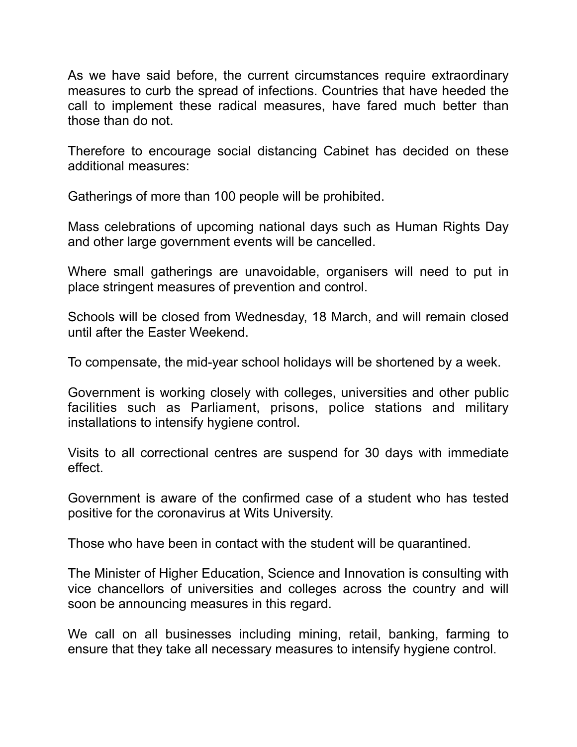As we have said before, the current circumstances require extraordinary measures to curb the spread of infections. Countries that have heeded the call to implement these radical measures, have fared much better than those than do not.

Therefore to encourage social distancing Cabinet has decided on these additional measures:

Gatherings of more than 100 people will be prohibited.

Mass celebrations of upcoming national days such as Human Rights Day and other large government events will be cancelled.

Where small gatherings are unavoidable, organisers will need to put in place stringent measures of prevention and control.

Schools will be closed from Wednesday, 18 March, and will remain closed until after the Easter Weekend.

To compensate, the mid-year school holidays will be shortened by a week.

Government is working closely with colleges, universities and other public facilities such as Parliament, prisons, police stations and military installations to intensify hygiene control.

Visits to all correctional centres are suspend for 30 days with immediate effect.

Government is aware of the confirmed case of a student who has tested positive for the coronavirus at Wits University.

Those who have been in contact with the student will be quarantined.

The Minister of Higher Education, Science and Innovation is consulting with vice chancellors of universities and colleges across the country and will soon be announcing measures in this regard.

We call on all businesses including mining, retail, banking, farming to ensure that they take all necessary measures to intensify hygiene control.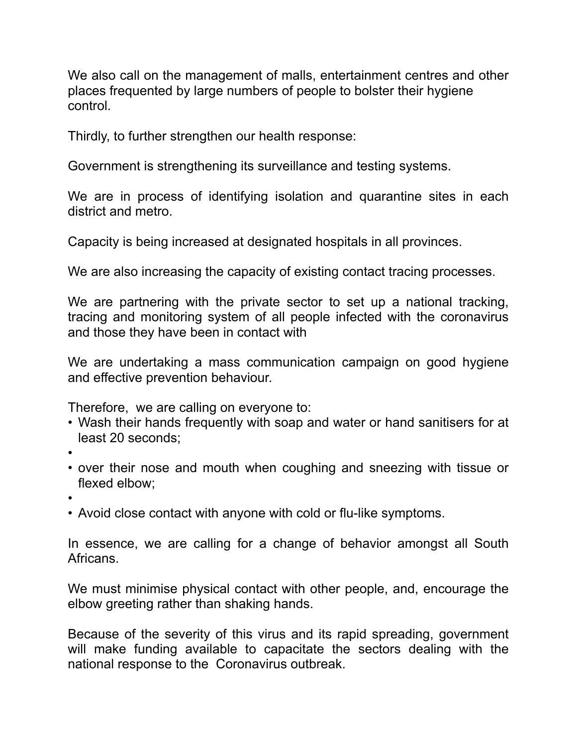We also call on the management of malls, entertainment centres and other places frequented by large numbers of people to bolster their hygiene control.

Thirdly, to further strengthen our health response:

Government is strengthening its surveillance and testing systems.

We are in process of identifying isolation and quarantine sites in each district and metro.

Capacity is being increased at designated hospitals in all provinces.

We are also increasing the capacity of existing contact tracing processes.

We are partnering with the private sector to set up a national tracking. tracing and monitoring system of all people infected with the coronavirus and those they have been in contact with

We are undertaking a mass communication campaign on good hygiene and effective prevention behaviour.

Therefore, we are calling on everyone to:

- Wash their hands frequently with soap and water or hand sanitisers for at least 20 seconds;
- •
- over their nose and mouth when coughing and sneezing with tissue or flexed elbow;
- •
- Avoid close contact with anyone with cold or flu-like symptoms.

In essence, we are calling for a change of behavior amongst all South Africans.

We must minimise physical contact with other people, and, encourage the elbow greeting rather than shaking hands.

Because of the severity of this virus and its rapid spreading, government will make funding available to capacitate the sectors dealing with the national response to the Coronavirus outbreak.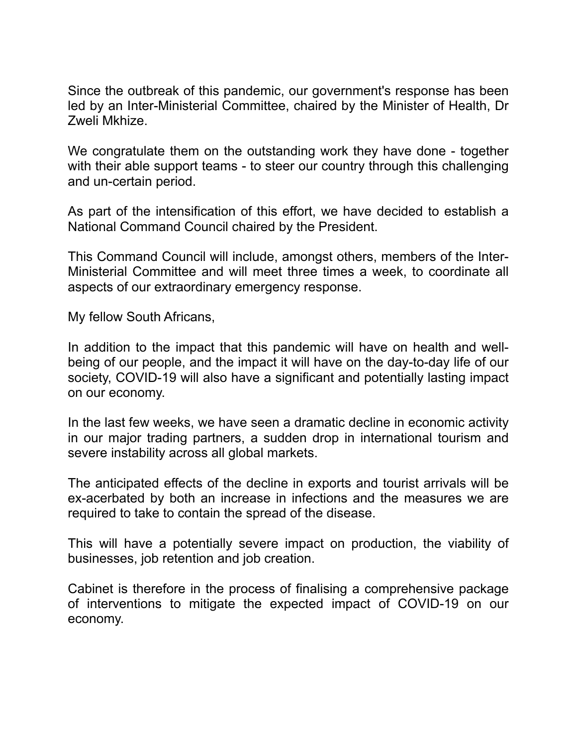Since the outbreak of this pandemic, our government's response has been led by an Inter-Ministerial Committee, chaired by the Minister of Health, Dr Zweli Mkhize.

We congratulate them on the outstanding work they have done - together with their able support teams - to steer our country through this challenging and un-certain period.

As part of the intensification of this effort, we have decided to establish a National Command Council chaired by the President.

This Command Council will include, amongst others, members of the Inter-Ministerial Committee and will meet three times a week, to coordinate all aspects of our extraordinary emergency response.

My fellow South Africans,

In addition to the impact that this pandemic will have on health and wellbeing of our people, and the impact it will have on the day-to-day life of our society, COVID-19 will also have a significant and potentially lasting impact on our economy.

In the last few weeks, we have seen a dramatic decline in economic activity in our major trading partners, a sudden drop in international tourism and severe instability across all global markets.

The anticipated effects of the decline in exports and tourist arrivals will be ex-acerbated by both an increase in infections and the measures we are required to take to contain the spread of the disease.

This will have a potentially severe impact on production, the viability of businesses, job retention and job creation.

Cabinet is therefore in the process of finalising a comprehensive package of interventions to mitigate the expected impact of COVID-19 on our economy.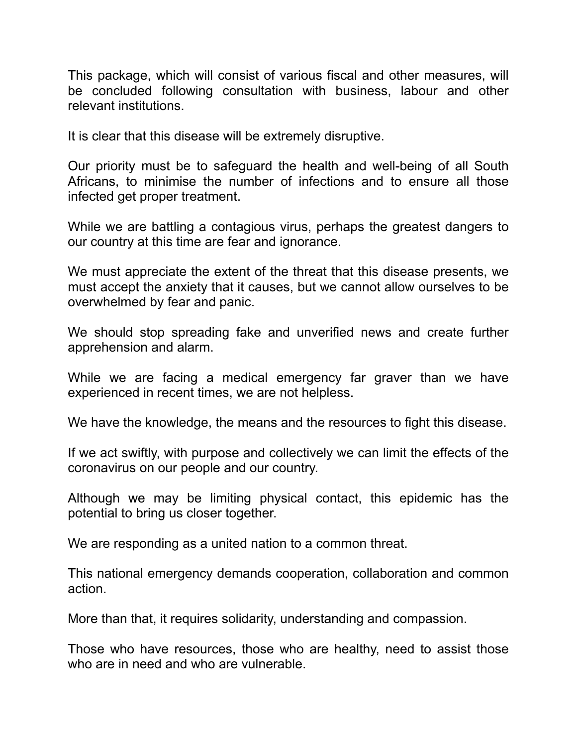This package, which will consist of various fiscal and other measures, will be concluded following consultation with business, labour and other relevant institutions.

It is clear that this disease will be extremely disruptive.

Our priority must be to safeguard the health and well-being of all South Africans, to minimise the number of infections and to ensure all those infected get proper treatment.

While we are battling a contagious virus, perhaps the greatest dangers to our country at this time are fear and ignorance.

We must appreciate the extent of the threat that this disease presents, we must accept the anxiety that it causes, but we cannot allow ourselves to be overwhelmed by fear and panic.

We should stop spreading fake and unverified news and create further apprehension and alarm.

While we are facing a medical emergency far graver than we have experienced in recent times, we are not helpless.

We have the knowledge, the means and the resources to fight this disease.

If we act swiftly, with purpose and collectively we can limit the effects of the coronavirus on our people and our country.

Although we may be limiting physical contact, this epidemic has the potential to bring us closer together.

We are responding as a united nation to a common threat.

This national emergency demands cooperation, collaboration and common action.

More than that, it requires solidarity, understanding and compassion.

Those who have resources, those who are healthy, need to assist those who are in need and who are vulnerable.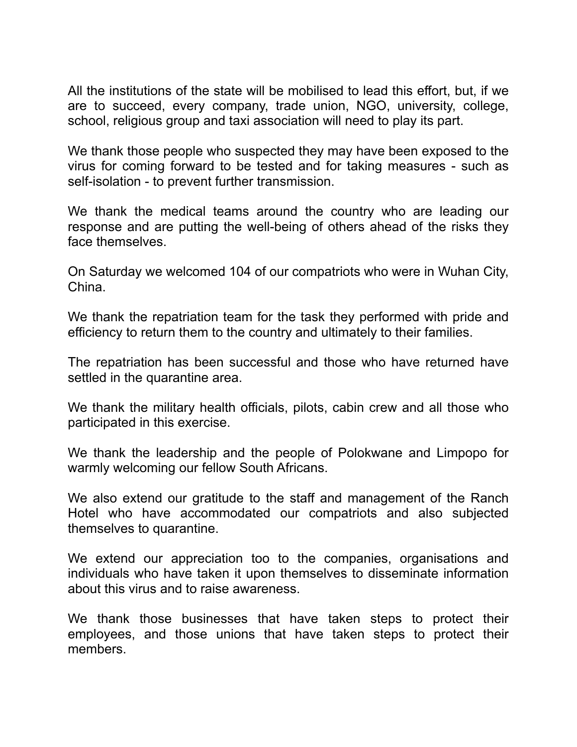All the institutions of the state will be mobilised to lead this effort, but, if we are to succeed, every company, trade union, NGO, university, college, school, religious group and taxi association will need to play its part.

We thank those people who suspected they may have been exposed to the virus for coming forward to be tested and for taking measures - such as self-isolation - to prevent further transmission.

We thank the medical teams around the country who are leading our response and are putting the well-being of others ahead of the risks they face themselves.

On Saturday we welcomed 104 of our compatriots who were in Wuhan City, China.

We thank the repatriation team for the task they performed with pride and efficiency to return them to the country and ultimately to their families.

The repatriation has been successful and those who have returned have settled in the quarantine area.

We thank the military health officials, pilots, cabin crew and all those who participated in this exercise.

We thank the leadership and the people of Polokwane and Limpopo for warmly welcoming our fellow South Africans.

We also extend our gratitude to the staff and management of the Ranch Hotel who have accommodated our compatriots and also subjected themselves to quarantine.

We extend our appreciation too to the companies, organisations and individuals who have taken it upon themselves to disseminate information about this virus and to raise awareness.

We thank those businesses that have taken steps to protect their employees, and those unions that have taken steps to protect their members.